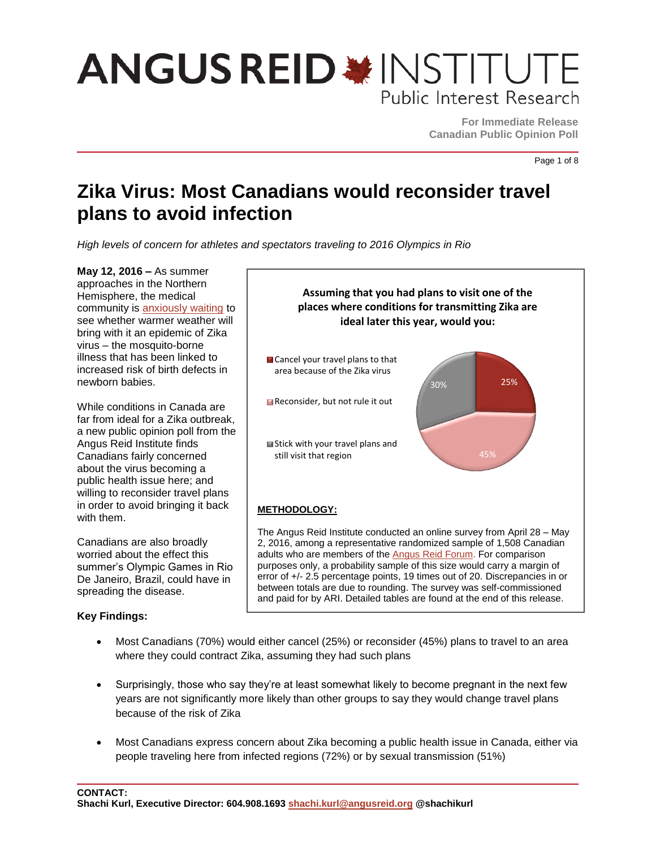## **ANGUS REID \* INSTITUTE** Public Interest Research

**For Immediate Release Canadian Public Opinion Poll**

Page 1 of 8

### **Zika Virus: Most Canadians would reconsider travel plans to avoid infection**

*High levels of concern for athletes and spectators traveling to 2016 Olympics in Rio* 

**May 12, 2016 –** As summer approaches in the Northern Hemisphere, the medical community is [anxiously waiting](http://www.newyorker.com/tech/elements/with-summer-coming-can-the-zika-virus-be-contained) to see whether warmer weather will bring with it an epidemic of Zika virus – the mosquito-borne illness that has been linked to increased risk of birth defects in newborn babies.

While conditions in Canada are far from ideal for a Zika outbreak, a new public opinion poll from the Angus Reid Institute finds Canadians fairly concerned about the virus becoming a public health issue here; and willing to reconsider travel plans in order to avoid bringing it back with them.

Canadians are also broadly worried about the effect this summer's Olympic Games in Rio De Janeiro, Brazil, could have in spreading the disease.

### **Key Findings:**



adults who are members of the [Angus Reid Forum.](https://www.angusreidforum.com/) For comparison purposes only, a probability sample of this size would carry a margin of error of +/- 2.5 percentage points, 19 times out of 20. Discrepancies in or between totals are due to rounding. The survey was self-commissioned and paid for by ARI. Detailed tables are found at the end of this release.

- Most Canadians (70%) would either cancel (25%) or reconsider (45%) plans to travel to an area where they could contract Zika, assuming they had such plans
- Surprisingly, those who say they're at least somewhat likely to become pregnant in the next few years are not significantly more likely than other groups to say they would change travel plans because of the risk of Zika
- Most Canadians express concern about Zika becoming a public health issue in Canada, either via people traveling here from infected regions (72%) or by sexual transmission (51%)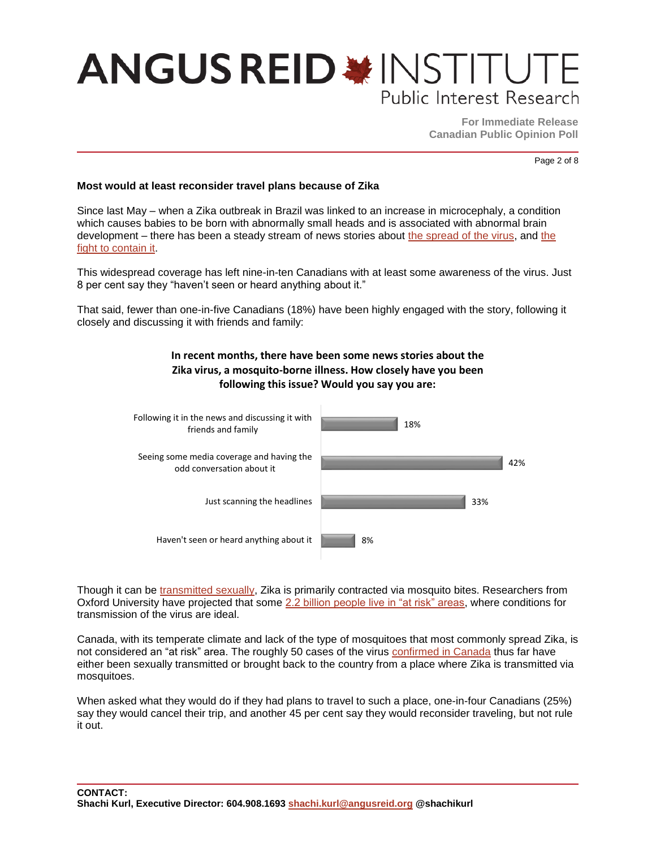## **ANGUS REID \* INSTITUTE** Public Interest Research

**For Immediate Release Canadian Public Opinion Poll**

Page 2 of 8

#### **Most would at least reconsider travel plans because of Zika**

Since last May – when a Zika outbreak in Brazil was linked to an increase in microcephaly, a condition which causes babies to be born with abnormally small heads and is associated with abnormal brain development – there has been a steady stream of news stories about [the spread of the virus,](http://www.theglobeandmail.com/news/national/canada-confirms-first-sexually-transmitted-zika-case/article29749332/) and the [fight to contain it.](http://www.ottawasun.com/2016/05/05/canadian-ebola-vaccine-creators-set-to-tackle-zika)

This widespread coverage has left nine-in-ten Canadians with at least some awareness of the virus. Just 8 per cent say they "haven't seen or heard anything about it."

That said, fewer than one-in-five Canadians (18%) have been highly engaged with the story, following it closely and discussing it with friends and family:



Though it can be [transmitted sexually,](http://www.theglobeandmail.com/news/national/canada-confirms-first-sexually-transmitted-zika-case/article29749332/) Zika is primarily contracted via mosquito bites. Researchers from Oxford University have projected that some [2.2 billion people live in "at risk" areas,](http://www.bbc.com/news/health-36090650) where conditions for transmission of the virus are ideal.

Canada, with its temperate climate and lack of the type of mosquitoes that most commonly spread Zika, is not considered an "at risk" area. The roughly 50 cases of the virus [confirmed in Canada](http://www.theglobeandmail.com/news/british-columbia/two-pregnant-women-among-seven-bc-residents-who-test-positive-for-zika-virus/article29676595/) thus far have either been sexually transmitted or brought back to the country from a place where Zika is transmitted via mosquitoes.

When asked what they would do if they had plans to travel to such a place, one-in-four Canadians (25%) say they would cancel their trip, and another 45 per cent say they would reconsider traveling, but not rule it out.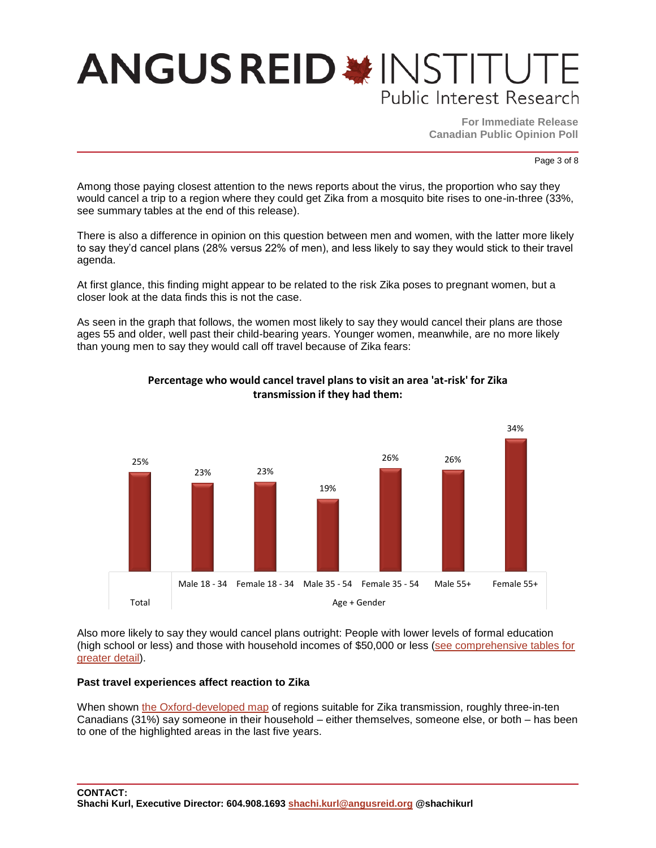## **ANGUS REID \* INSTITU** Public Interest Research

**For Immediate Release Canadian Public Opinion Poll**

Page 3 of 8

Among those paying closest attention to the news reports about the virus, the proportion who say they would cancel a trip to a region where they could get Zika from a mosquito bite rises to one-in-three (33%, see summary tables at the end of this release).

There is also a difference in opinion on this question between men and women, with the latter more likely to say they'd cancel plans (28% versus 22% of men), and less likely to say they would stick to their travel agenda.

At first glance, this finding might appear to be related to the risk Zika poses to pregnant women, but a closer look at the data finds this is not the case.

As seen in the graph that follows, the women most likely to say they would cancel their plans are those ages 55 and older, well past their child-bearing years. Younger women, meanwhile, are no more likely than young men to say they would call off travel because of Zika fears:



### **Percentage who would cancel travel plans to visit an area 'at-risk' for Zika transmission if they had them:**

Also more likely to say they would cancel plans outright: People with lower levels of formal education (high school or less) and those with household incomes of \$50,000 or less [\(see comprehensive tables for](http://angusreid.org/wp-content/uploads/2016/05/2016.05.04_ZikaReleaseTables.pdf)  [greater detail\)](http://angusreid.org/wp-content/uploads/2016/05/2016.05.04_ZikaReleaseTables.pdf).

#### **Past travel experiences affect reaction to Zika**

When shown [the Oxford-developed map](http://www.bbc.com/news/health-36090650) of regions suitable for Zika transmission, roughly three-in-ten Canadians (31%) say someone in their household – either themselves, someone else, or both – has been to one of the highlighted areas in the last five years.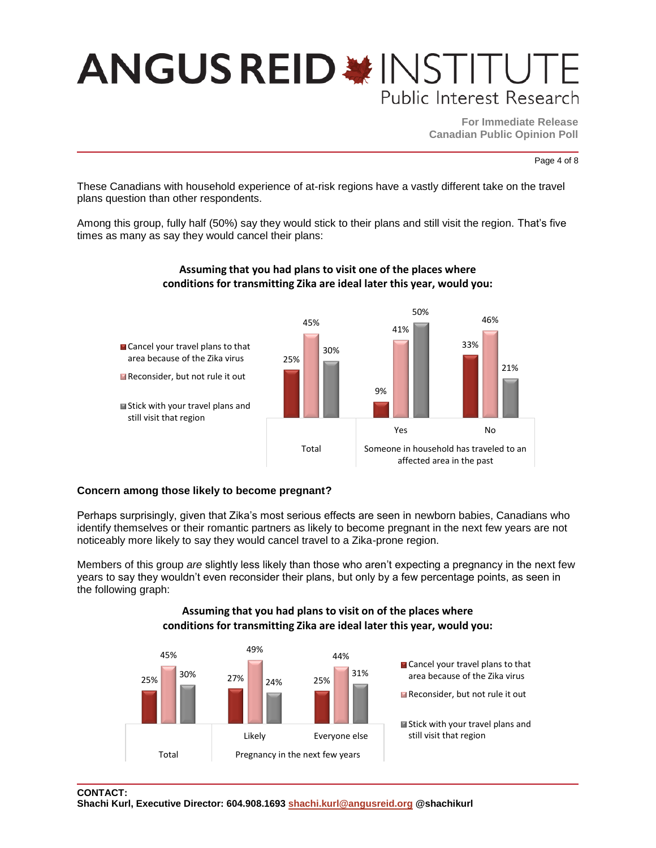## **ANGUS REID \* INSTITU** Public Interest Research

**For Immediate Release Canadian Public Opinion Poll**

Page 4 of 8

These Canadians with household experience of at-risk regions have a vastly different take on the travel plans question than other respondents.

Among this group, fully half (50%) say they would stick to their plans and still visit the region. That's five times as many as say they would cancel their plans:



### **Assuming that you had plans to visit one of the places where conditions for transmitting Zika are ideal later this year, would you:**

#### **Concern among those likely to become pregnant?**

Perhaps surprisingly, given that Zika's most serious effects are seen in newborn babies, Canadians who identify themselves or their romantic partners as likely to become pregnant in the next few years are not noticeably more likely to say they would cancel travel to a Zika-prone region.

Members of this group *are* slightly less likely than those who aren't expecting a pregnancy in the next few years to say they wouldn't even reconsider their plans, but only by a few percentage points, as seen in the following graph:

### **Assuming that you had plans to visit on of the places where conditions for transmitting Zika are ideal later this year, would you:**

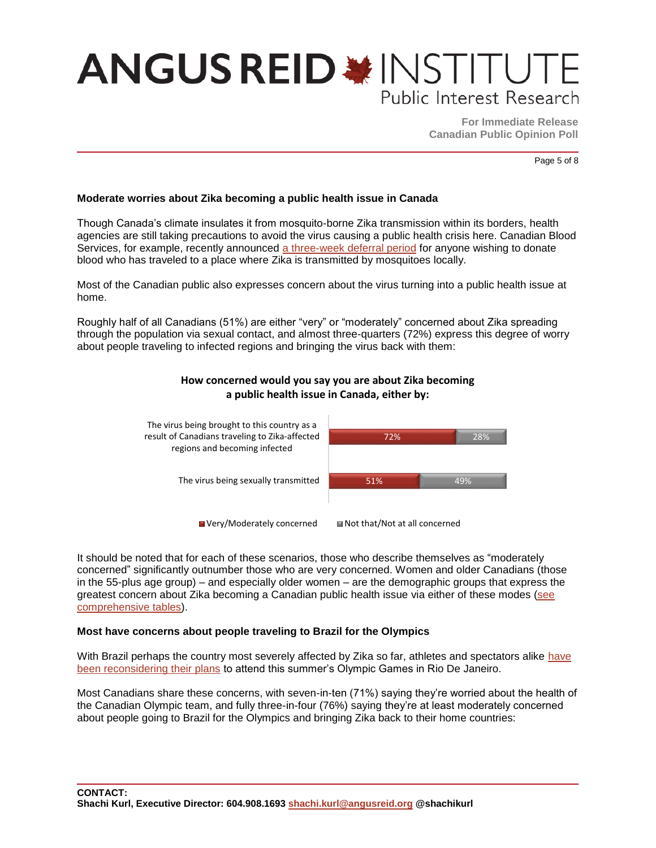## **ANGUS REID \*INSTITUTE** Public Interest Research

**For Immediate Release Canadian Public Opinion Poll**

Page 5 of 8

#### **Moderate worries about Zika becoming a public health issue in Canada**

Though Canada's climate insulates it from mosquito-borne Zika transmission within its borders, health agencies are still taking precautions to avoid the virus causing a public health crisis here. Canadian Blood Services, for example, recently announced [a three-week deferral period](http://www.theglobeandmail.com/life/health-and-fitness/health/zika-virus-a-threat-to-blood-supply-in-affected-areas/article29922955/) for anyone wishing to donate blood who has traveled to a place where Zika is transmitted by mosquitoes locally.

Most of the Canadian public also expresses concern about the virus turning into a public health issue at home.

Roughly half of all Canadians (51%) are either "very" or "moderately" concerned about Zika spreading through the population via sexual contact, and almost three-quarters (72%) express this degree of worry about people traveling to infected regions and bringing the virus back with them:

**How concerned would you say you are about Zika becoming** 



It should be noted that for each of these scenarios, those who describe themselves as "moderately concerned" significantly outnumber those who are very concerned. Women and older Canadians (those in the 55-plus age group) – and especially older women – are the demographic groups that express the greatest concern about Zika becoming a Canadian public health issue via either of these modes (see [comprehensive tables\)](http://angusreid.org/wp-content/uploads/2016/05/2016.05.04_ZikaReleaseTables.pdf).

#### **Most have concerns about people traveling to Brazil for the Olympics**

With Brazil perhaps the country most severely affected by Zika so far, athletes and spectators alike have [been reconsidering their plans](http://www.si.com/more-sports/zika-virus-olympics-mlb-sports) to attend this summer's Olympic Games in Rio De Janeiro.

Most Canadians share these concerns, with seven-in-ten (71%) saying they're worried about the health of the Canadian Olympic team, and fully three-in-four (76%) saying they're at least moderately concerned about people going to Brazil for the Olympics and bringing Zika back to their home countries: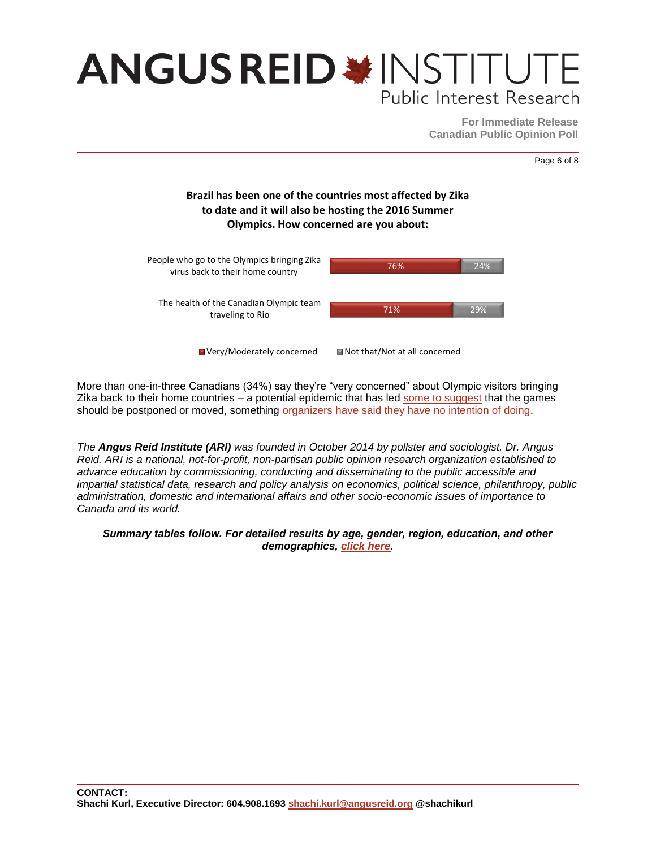## **ANGUS REID \*INSTITUTE** Public Interest Research

**For Immediate Release Canadian Public Opinion Poll**

Page 6 of 8

### **Brazil has been one of the countries most affected by Zika to date and it will also be hosting the 2016 Summer Olympics. How concerned are you about:**



More than one-in-three Canadians (34%) say they're "very concerned" about Olympic visitors bringing Zika back to their home countries – a potential epidemic that has led [some to suggest](http://www.metronews.ca/news/canada/2016/05/09/rio-olympics-should-be-postponed-or-moved-due-to-zika-public-health-professor.html) that the games should be postponed or moved, something [organizers have said they have no intention of doing.](http://www.cbc.ca/sports/olympics/generic/rio-games-zika-outbreak-1.3434744)

*The Angus Reid Institute (ARI) was founded in October 2014 by pollster and sociologist, Dr. Angus Reid. ARI is a national, not-for-profit, non-partisan public opinion research organization established to advance education by commissioning, conducting and disseminating to the public accessible and impartial statistical data, research and policy analysis on economics, political science, philanthropy, public administration, domestic and international affairs and other socio-economic issues of importance to Canada and its world.*

#### *Summary tables follow. For detailed results by age, gender, region, education, and other demographics, [click here.](http://angusreid.org/wp-content/uploads/2016/05/2016.05.04_ZikaReleaseTables.pdf)*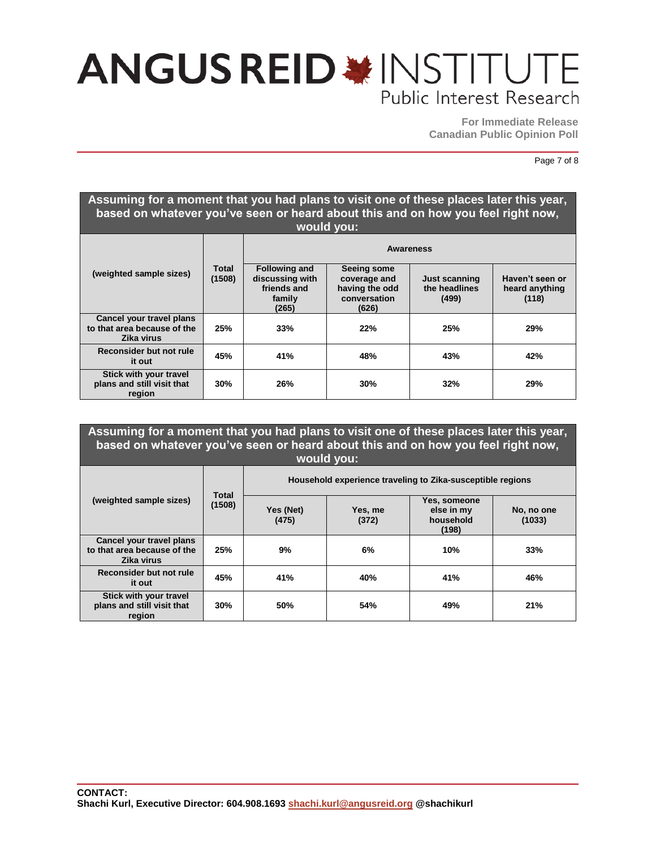### **ANGUS REID \* INSTITUT** Public Interest Research

**For Immediate Release Canadian Public Opinion Poll**

Page 7 of 8

#### **Assuming for a moment that you had plans to visit one of these places later this year, based on whatever you've seen or heard about this and on how you feel right now, would you: (weighted sample sizes) Total (1508) Awareness Following and discussing with friends and family (265) Seeing some coverage and having the odd conversation (626) Just scanning the headlines (499) Haven't seen or heard anything (118) Cancel your travel plans to that area because of the Zika virus 25% 33% 22% 25% 29% Reconsider but not rule it out 45% 41% 48% 43% 42% Stick with your travel plans and still visit that region 30% 26% 30% 32% 29%**

#### **Assuming for a moment that you had plans to visit one of these places later this year, based on whatever you've seen or heard about this and on how you feel right now, would you: (weighted sample sizes) Total (1508) Household experience traveling to Zika-susceptible regions Yes (Net) (475) Yes, me (372) Yes, someone else in my household (198) No, no one (1033) Cancel your travel plans to that area because of the 25% 9% 6% 10% 33%**

| Zika virus                                           |     |     |     |     |     |
|------------------------------------------------------|-----|-----|-----|-----|-----|
| Reconsider but not rule<br>it out                    | 45% | 41% | 40% | 41% | 46% |
| Stick with your travel<br>plans and still visit that | 30% | 50% | 54% | 49% | 21% |

**region**